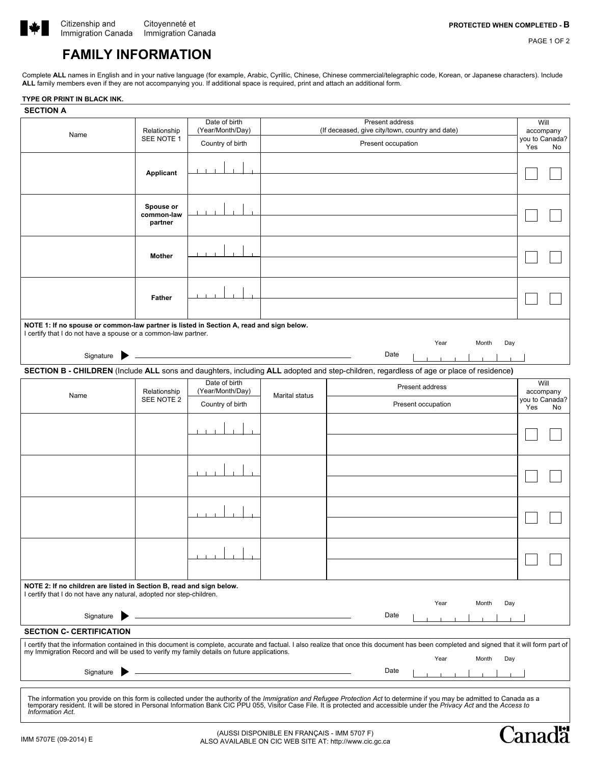

Cana

PAGE 1 OF 2

# **FAMILY INFORMATION**

Complete **ALL** names in English and in your native language (for example, Arabic, Cyrillic, Chinese, Chinese commercial/telegraphic code, Korean, or Japanese characters). Include **ALL** family members even if they are not accompanying you. If additional space is required, print and attach an additional form.

#### **TYPE OR PRINT IN BLACK INK.**

| <b>SECTION A</b>                                                                                                                                                                                                                                                                                                                                                            |                            |                  |                |                                                 |                             |
|-----------------------------------------------------------------------------------------------------------------------------------------------------------------------------------------------------------------------------------------------------------------------------------------------------------------------------------------------------------------------------|----------------------------|------------------|----------------|-------------------------------------------------|-----------------------------|
| Name                                                                                                                                                                                                                                                                                                                                                                        | Relationship<br>SEE NOTE 1 | Date of birth    |                | Present address                                 | Will                        |
|                                                                                                                                                                                                                                                                                                                                                                             |                            | (Year/Month/Day) |                | (If deceased, give city/town, country and date) | accompany<br>you to Canada? |
|                                                                                                                                                                                                                                                                                                                                                                             |                            | Country of birth |                | Present occupation                              | Yes<br>No                   |
|                                                                                                                                                                                                                                                                                                                                                                             |                            |                  |                |                                                 |                             |
|                                                                                                                                                                                                                                                                                                                                                                             | Applicant                  |                  |                |                                                 |                             |
|                                                                                                                                                                                                                                                                                                                                                                             |                            |                  |                |                                                 |                             |
|                                                                                                                                                                                                                                                                                                                                                                             |                            |                  |                |                                                 |                             |
|                                                                                                                                                                                                                                                                                                                                                                             | Spouse or                  |                  |                |                                                 |                             |
|                                                                                                                                                                                                                                                                                                                                                                             | common-law<br>partner      |                  |                |                                                 |                             |
|                                                                                                                                                                                                                                                                                                                                                                             |                            |                  |                |                                                 |                             |
|                                                                                                                                                                                                                                                                                                                                                                             |                            |                  |                |                                                 |                             |
|                                                                                                                                                                                                                                                                                                                                                                             | <b>Mother</b>              |                  |                |                                                 |                             |
|                                                                                                                                                                                                                                                                                                                                                                             |                            |                  |                |                                                 |                             |
|                                                                                                                                                                                                                                                                                                                                                                             |                            |                  |                |                                                 |                             |
|                                                                                                                                                                                                                                                                                                                                                                             |                            |                  |                |                                                 |                             |
|                                                                                                                                                                                                                                                                                                                                                                             | <b>Father</b>              |                  |                |                                                 |                             |
|                                                                                                                                                                                                                                                                                                                                                                             |                            |                  |                |                                                 |                             |
| NOTE 1: If no spouse or common-law partner is listed in Section A, read and sign below.<br>I certify that I do not have a spouse or a common-law partner.                                                                                                                                                                                                                   |                            |                  |                |                                                 |                             |
|                                                                                                                                                                                                                                                                                                                                                                             |                            |                  |                | Day<br>Year<br>Month                            |                             |
| Signature <b>D</b>                                                                                                                                                                                                                                                                                                                                                          |                            |                  |                | Date                                            |                             |
| SECTION B - CHILDREN (Include ALL sons and daughters, including ALL adopted and step-children, regardless of age or place of residence)                                                                                                                                                                                                                                     |                            |                  |                |                                                 |                             |
| Date of birth<br>Will                                                                                                                                                                                                                                                                                                                                                       |                            |                  |                |                                                 |                             |
| Name                                                                                                                                                                                                                                                                                                                                                                        | Relationship<br>SEE NOTE 2 | (Year/Month/Day) | Marital status | Present address                                 | accompany                   |
|                                                                                                                                                                                                                                                                                                                                                                             |                            | Country of birth |                | Present occupation                              | you to Canada?<br>Yes<br>No |
|                                                                                                                                                                                                                                                                                                                                                                             |                            |                  |                |                                                 |                             |
|                                                                                                                                                                                                                                                                                                                                                                             |                            |                  |                |                                                 |                             |
|                                                                                                                                                                                                                                                                                                                                                                             |                            |                  |                |                                                 |                             |
|                                                                                                                                                                                                                                                                                                                                                                             |                            |                  |                |                                                 |                             |
|                                                                                                                                                                                                                                                                                                                                                                             |                            |                  |                |                                                 |                             |
|                                                                                                                                                                                                                                                                                                                                                                             |                            |                  |                |                                                 |                             |
|                                                                                                                                                                                                                                                                                                                                                                             |                            |                  |                |                                                 |                             |
|                                                                                                                                                                                                                                                                                                                                                                             |                            |                  |                |                                                 |                             |
|                                                                                                                                                                                                                                                                                                                                                                             |                            | $\blacksquare$   |                |                                                 |                             |
|                                                                                                                                                                                                                                                                                                                                                                             |                            |                  |                |                                                 |                             |
|                                                                                                                                                                                                                                                                                                                                                                             |                            |                  |                |                                                 |                             |
|                                                                                                                                                                                                                                                                                                                                                                             |                            |                  |                |                                                 |                             |
|                                                                                                                                                                                                                                                                                                                                                                             |                            |                  |                |                                                 |                             |
|                                                                                                                                                                                                                                                                                                                                                                             |                            |                  |                |                                                 |                             |
| NOTE 2: If no children are listed in Section B, read and sign below.                                                                                                                                                                                                                                                                                                        |                            |                  |                |                                                 |                             |
| I certify that I do not have any natural, adopted nor step-children.                                                                                                                                                                                                                                                                                                        |                            |                  |                | Year<br>Month<br>Day                            |                             |
|                                                                                                                                                                                                                                                                                                                                                                             |                            |                  |                | Date                                            |                             |
| Signature                                                                                                                                                                                                                                                                                                                                                                   |                            |                  |                |                                                 |                             |
| <b>SECTION C- CERTIFICATION</b>                                                                                                                                                                                                                                                                                                                                             |                            |                  |                |                                                 |                             |
| I certify that the information contained in this document is complete, accurate and factual. I also realize that once this document has been completed and signed that it will form part of<br>my Immigration Record and will be used to verify my family details on future applications.                                                                                   |                            |                  |                |                                                 |                             |
| Day<br>Year<br>Month                                                                                                                                                                                                                                                                                                                                                        |                            |                  |                |                                                 |                             |
| Signature                                                                                                                                                                                                                                                                                                                                                                   |                            |                  |                | Date                                            |                             |
|                                                                                                                                                                                                                                                                                                                                                                             |                            |                  |                |                                                 |                             |
| The information you provide on this form is collected under the authority of the Immigration and Refugee Protection Act to determine if you may be admitted to Canada as a<br>temporary resident. It will be stored in Personal Information Bank CIC PPU 055, Visitor Case File. It is protected and accessible under the Privacy Act and the Access to<br>Information Act. |                            |                  |                |                                                 |                             |